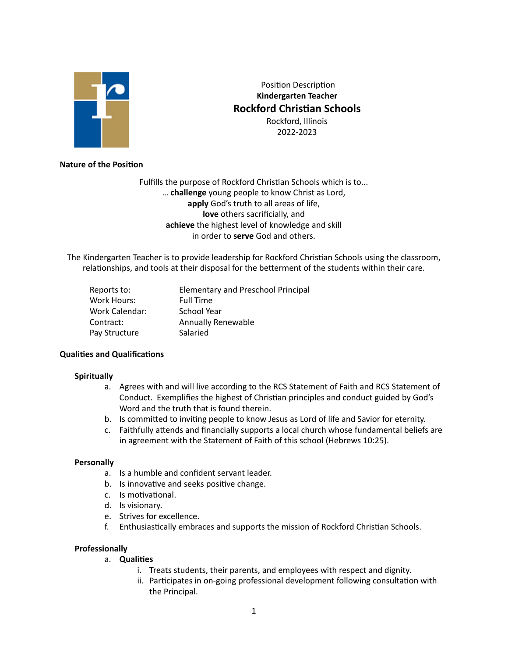

 Position Description **Kindergarten Teacher Rockford Christian Schools** Rockford, Illinois 2022-2023

# **Nature of the Position**

Fulfills the purpose of Rockford Christian Schools which is to... … **challenge** young people to know Christ as Lord, **apply** God's truth to all areas of life, **love** others sacrificially, and **achieve** the highest level of knowledge and skill in order to **serve** God and others.

The Kindergarten Teacher is to provide leadership for Rockford Christian Schools using the classroom, relationships, and tools at their disposal for the betterment of the students within their care.

| Reports to:    | <b>Elementary and Preschool Principal</b> |
|----------------|-------------------------------------------|
| Work Hours:    | <b>Full Time</b>                          |
| Work Calendar: | School Year                               |
| Contract:      | <b>Annually Renewable</b>                 |
| Pay Structure  | Salaried                                  |

## **Qualities and Qualifications**

## **Spiritually**

- a. Agrees with and will live according to the RCS Statement of Faith and RCS Statement of Conduct. Exemplifies the highest of Christian principles and conduct guided by God's Word and the truth that is found therein.
- b. Is committed to inviting people to know Jesus as Lord of life and Savior for eternity.
- c. Faithfully attends and financially supports a local church whose fundamental beliefs are in agreement with the Statement of Faith of this school (Hebrews 10:25).

## **Personally**

- a. Is a humble and confident servant leader.
- b. Is innovative and seeks positive change.
- c. Is motivational.
- d. Is visionary.
- e. Strives for excellence.
- f. Enthusiastically embraces and supports the mission of Rockford Christian Schools.

## **Professionally**

- a. **Qualities**
	- i. Treats students, their parents, and employees with respect and dignity.
	- ii. Participates in on-going professional development following consultation with the Principal.